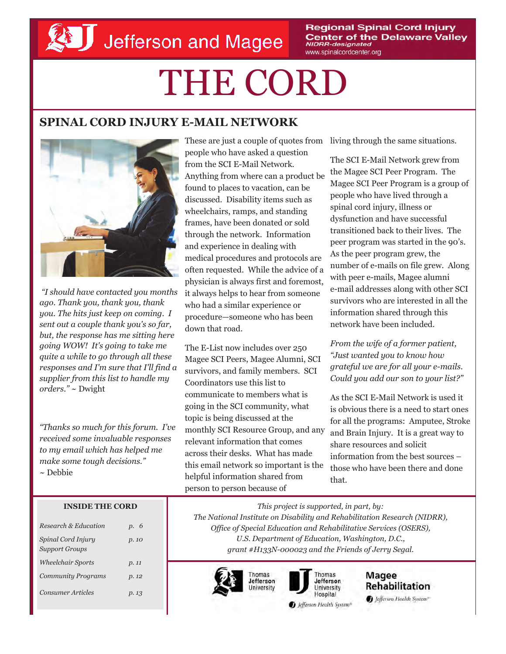**Regional Spinal Cord Injury Center of the Delaware Valley NIDRR-designated** www.spinalcordcenter.org

# THE CORD

### **SPINAL CORD INJURY E-MAIL NETWORK**



*"I should have contacted you months ago. Thank you, thank you, thank you. The hits just keep on coming. I sent out a couple thank you's so far, but, the response has me sitting here going WOW! It's going to take me quite a while to go through all these responses and I'm sure that I'll find a supplier from this list to handle my orders."* ~ Dwight

*"Thanks so much for this forum. I've received some invaluable responses to my email which has helped me make some tough decisions."* ~ Debbie

These are just a couple of quotes from living through the same situations. people who have asked a question from the SCI E-Mail Network. Anything from where can a product be found to places to vacation, can be discussed. Disability items such as wheelchairs, ramps, and standing frames, have been donated or sold through the network. Information and experience in dealing with medical procedures and protocols are often requested. While the advice of a physician is always first and foremost, it always helps to hear from someone who had a similar experience or procedure—someone who has been down that road.

The E-List now includes over 250 Magee SCI Peers, Magee Alumni, SCI survivors, and family members. SCI Coordinators use this list to communicate to members what is going in the SCI community, what topic is being discussed at the monthly SCI Resource Group, and any relevant information that comes across their desks. What has made this email network so important is the helpful information shared from person to person because of

The SCI E-Mail Network grew from the Magee SCI Peer Program. The Magee SCI Peer Program is a group of people who have lived through a spinal cord injury, illness or dysfunction and have successful transitioned back to their lives. The peer program was started in the 90's. As the peer program grew, the number of e-mails on file grew. Along with peer e-mails, Magee alumni e-mail addresses along with other SCI survivors who are interested in all the information shared through this network have been included.

*From the wife of a former patient, "Just wanted you to know how grateful we are for all your e-mails. Could you add our son to your list?"*

As the SCI E-Mail Network is used it is obvious there is a need to start ones for all the programs: Amputee, Stroke and Brain Injury. It is a great way to share resources and solicit information from the best sources – those who have been there and done that.

#### **INSIDE THE CORD**

| Research & Education                        | p. 6  |
|---------------------------------------------|-------|
| Spinal Cord Injury<br><b>Support Groups</b> | p. 10 |
| <b>Wheelchair Sports</b>                    | p.11  |
| <b>Community Programs</b>                   | p.12  |
| <b>Consumer Articles</b>                    | p. 13 |

*This project is supported, in part, by: The National Institute on Disability and Rehabilitation Research (NIDRR), Office of Special Education and Rehabilitative Services (OSERS), U.S. Department of Education, Washington, D.C., grant #H133N-000023 and the Friends of Jerry Segal.* 





Magee Rehabilitation Jefferson Health System\*

Jefferson Health System®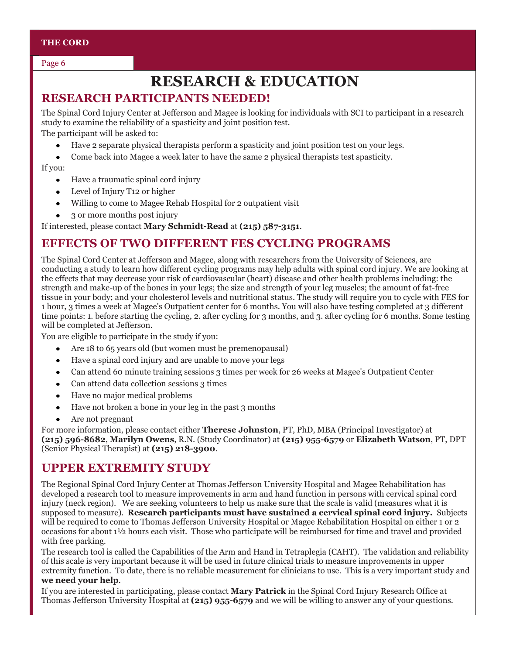#### **THE CORD**

Page 6

## **RESEARCH & EDUCATION**

#### **RESEARCH PARTICIPANTS NEEDED!**

The Spinal Cord Injury Center at Jefferson and Magee is looking for individuals with SCI to participant in a research study to examine the reliability of a spasticity and joint position test.

The participant will be asked to:

- Have 2 separate physical therapists perform a spasticity and joint position test on your legs.  $\bullet$
- Come back into Magee a week later to have the same 2 physical therapists test spasticity.

#### If you:

- Have a traumatic spinal cord injury  $\bullet$
- Level of Injury T12 or higher
- Willing to come to Magee Rehab Hospital for 2 outpatient visit  $\bullet$
- 3 or more months post injury  $\bullet$

If interested, please contact **Mary Schmidt-Read** at **(215) 587-3151**.

#### **EFFECTS OF TWO DIFFERENT FES CYCLING PROGRAMS**

The Spinal Cord Center at Jefferson and Magee, along with researchers from the University of Sciences, are conducting a study to learn how different cycling programs may help adults with spinal cord injury. We are looking at the effects that may decrease your risk of cardiovascular (heart) disease and other health problems including: the strength and make-up of the bones in your legs; the size and strength of your leg muscles; the amount of fat-free tissue in your body; and your cholesterol levels and nutritional status. The study will require you to cycle with FES for 1 hour, 3 times a week at Magee's Outpatient center for 6 months. You will also have testing completed at 3 different time points: 1. before starting the cycling, 2. after cycling for 3 months, and 3. after cycling for 6 months. Some testing will be completed at Jefferson.

You are eligible to participate in the study if you:

- Are 18 to 65 years old (but women must be premenopausal)
- Have a spinal cord injury and are unable to move your legs  $\bullet$
- Can attend 60 minute training sessions 3 times per week for 26 weeks at Magee's Outpatient Center
- Can attend data collection sessions 3 times
- Have no major medical problems  $\bullet$
- Have not broken a bone in your leg in the past 3 months
- Are not pregnant

For more information, please contact either **Therese Johnston**, PT, PhD, MBA (Principal Investigator) at **(215) 596-8682**, **Marilyn Owens**, R.N. (Study Coordinator) at **(215) 955-6579** or **Elizabeth Watson**, PT, DPT (Senior Physical Therapist) at **(215) 218-3900**.

#### **UPPER EXTREMITY STUDY**

The Regional Spinal Cord Injury Center at Thomas Jefferson University Hospital and Magee Rehabilitation has developed a research tool to measure improvements in arm and hand function in persons with cervical spinal cord injury (neck region). We are seeking volunteers to help us make sure that the scale is valid (measures what it is supposed to measure). **Research participants must have sustained a cervical spinal cord injury.** Subjects will be required to come to Thomas Jefferson University Hospital or Magee Rehabilitation Hospital on either 1 or 2 occasions for about 1½ hours each visit. Those who participate will be reimbursed for time and travel and provided with free parking.

The research tool is called the Capabilities of the Arm and Hand in Tetraplegia (CAHT). The validation and reliability of this scale is very important because it will be used in future clinical trials to measure improvements in upper extremity function. To date, there is no reliable measurement for clinicians to use. This is a very important study and **we need your help**.

If you are interested in participating, please contact **Mary Patrick** in the Spinal Cord Injury Research Office at Thomas Jefferson University Hospital at **(215) 955-6579** and we will be willing to answer any of your questions.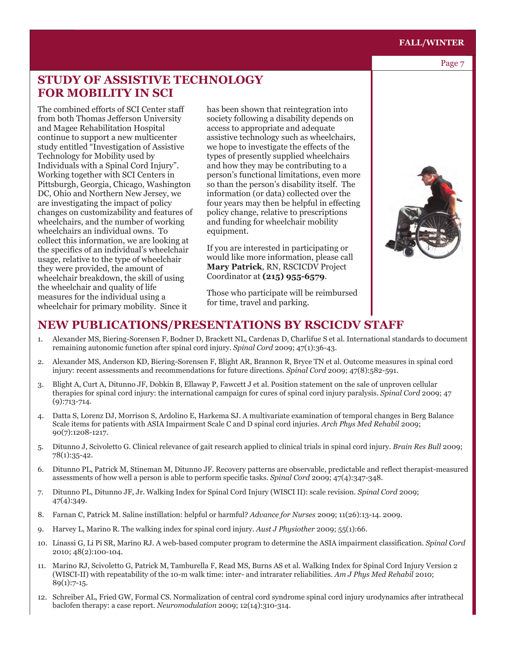#### **FALL/WINTER**

#### Page 7

#### **STUDY OF ASSISTIVE TECHNOLOGY FOR MOBILITY IN SCI**

The combined efforts of SCI Center staff from both Thomas Jefferson University and Magee Rehabilitation Hospital continue to support a new multicenter study entitled "Investigation of Assistive Technology for Mobility used by Individuals with a Spinal Cord Injury". Working together with SCI Centers in Pittsburgh, Georgia, Chicago, Washington DC, Ohio and Northern New Jersey, we are investigating the impact of policy changes on customizability and features of wheelchairs, and the number of working wheelchairs an individual owns. To collect this information, we are looking at the specifics of an individual's wheelchair usage, relative to the type of wheelchair they were provided, the amount of wheelchair breakdown, the skill of using the wheelchair and quality of life measures for the individual using a wheelchair for primary mobility. Since it

has been shown that reintegration into society following a disability depends on access to appropriate and adequate assistive technology such as wheelchairs, we hope to investigate the effects of the types of presently supplied wheelchairs and how they may be contributing to a person's functional limitations, even more so than the person's disability itself. The information (or data) collected over the four years may then be helpful in effecting policy change, relative to prescriptions and funding for wheelchair mobility equipment.

If you are interested in participating or would like more information, please call **Mary Patrick**, RN, RSCICDV Project Coordinator at **(215) 955-6579**.

Those who participate will be reimbursed for time, travel and parking.



- 1. Alexander MS, Biering-Sorensen F, Bodner D, Brackett NL, Cardenas D, Charlifue S et al. International standards to document remaining autonomic function after spinal cord injury. *Spinal Cord* 2009; 47(1):36-43.
- 2. Alexander MS, Anderson KD, Biering-Sorensen F, Blight AR, Brannon R, Bryce TN et al. Outcome measures in spinal cord injury: recent assessments and recommendations for future directions. *Spinal Cord* 2009; 47(8):582-591.
- 3. Blight A, Curt A, Ditunno JF, Dobkin B, Ellaway P, Fawcett J et al. Position statement on the sale of unproven cellular therapies for spinal cord injury: the international campaign for cures of spinal cord injury paralysis. *Spinal Cord* 2009; 47 (9):713-714.
- 4. Datta S, Lorenz DJ, Morrison S, Ardolino E, Harkema SJ. A multivariate examination of temporal changes in Berg Balance Scale items for patients with ASIA Impairment Scale C and D spinal cord injuries. *Arch Phys Med Rehabil* 2009; 90(7):1208-1217.
- 5. Ditunno J, Scivoletto G. Clinical relevance of gait research applied to clinical trials in spinal cord injury. *Brain Res Bull* 2009; 78(1):35-42.
- 6. Ditunno PL, Patrick M, Stineman M, Ditunno JF. Recovery patterns are observable, predictable and reflect therapist-measured assessments of how well a person is able to perform specific tasks. *Spinal Cord* 2009; 47(4):347-348.
- 7. Ditunno PL, Ditunno JF, Jr. Walking Index for Spinal Cord Injury (WISCI II): scale revision. *Spinal Cord* 2009; 47(4):349.
- 8. Farnan C, Patrick M. Saline instillation: helpful or harmful? *Advance for Nurses* 2009; 11(26):13-14. 2009.
- 9. Harvey L, Marino R. The walking index for spinal cord injury. *Aust J Physiother* 2009; 55(1):66.
- 10. Linassi G, Li Pi SR, Marino RJ. A web-based computer program to determine the ASIA impairment classification. *Spinal Cord* 2010; 48(2):100-104.
- 11. Marino RJ, Scivoletto G, Patrick M, Tamburella F, Read MS, Burns AS et al. Walking Index for Spinal Cord Injury Version 2 (WISCI-II) with repeatability of the 10-m walk time: inter- and intrarater reliabilities. *Am J Phys Med Rehabil* 2010; 89(1):7-15.
- 12. Schreiber AL, Fried GW, Formal CS. Normalization of central cord syndrome spinal cord injury urodynamics after intrathecal baclofen therapy: a case report. *Neuromodulation* 2009; 12(14):310-314.

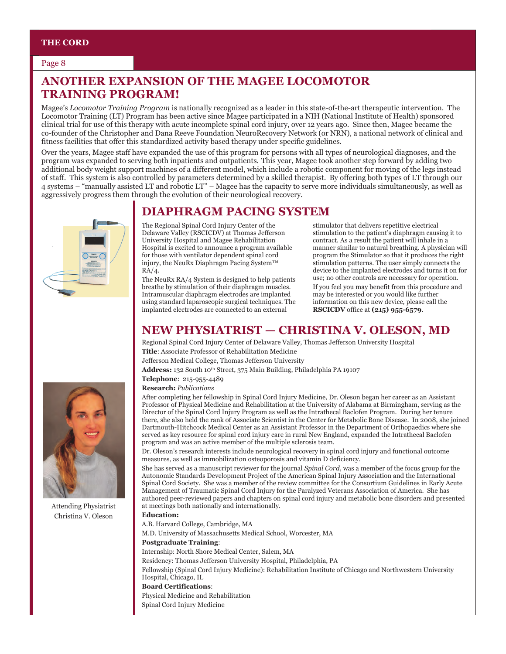#### Page 8

#### **ANOTHER EXPANSION OF THE MAGEE LOCOMOTOR TRAINING PROGRAM!**

Magee's *Locomotor Training Program* is nationally recognized as a leader in this state-of-the-art therapeutic intervention. The Locomotor Training (LT) Program has been active since Magee participated in a NIH (National Institute of Health) sponsored clinical trial for use of this therapy with acute incomplete spinal cord injury, over 12 years ago. Since then, Magee became the co-founder of the Christopher and Dana Reeve Foundation NeuroRecovery Network (or NRN), a national network of clinical and fitness facilities that offer this standardized activity based therapy under specific guidelines.

Over the years, Magee staff have expanded the use of this program for persons with all types of neurological diagnoses, and the program was expanded to serving both inpatients and outpatients. This year, Magee took another step forward by adding two additional body weight support machines of a different model, which include a robotic component for moving of the legs instead of staff. This system is also controlled by parameters determined by a skilled therapist. By offering both types of LT through our 4 systems – "manually assisted LT and robotic LT" – Magee has the capacity to serve more individuals simultaneously, as well as aggressively progress them through the evolution of their neurological recovery.



The Regional Spinal Cord Injury Center of the Delaware Valley (RSCICDV) at Thomas Jefferson University Hospital and Magee Rehabilitation Hospital is excited to announce a program available for those with ventilator dependent spinal cord injury, the NeuRx Diaphragm Pacing System™ RA/4.

The NeuRx RA/4 System is designed to help patients breathe by stimulation of their diaphragm muscles. Intramuscular diaphragm electrodes are implanted using standard laparoscopic surgical techniques. The implanted electrodes are connected to an external

stimulator that delivers repetitive electrical stimulation to the patient's diaphragm causing it to contract. As a result the patient will inhale in a manner similar to natural breathing. A physician will program the Stimulator so that it produces the right stimulation patterns. The user simply connects the device to the implanted electrodes and turns it on for use; no other controls are necessary for operation. If you feel you may benefit from this procedure and may be interested or you would like further information on this new device, please call the **RSCICDV** office at **(215) 955-6579**.

#### **NEW PHYSIATRIST — CHRISTINA V. OLESON, MD**

Regional Spinal Cord Injury Center of Delaware Valley, Thomas Jefferson University Hospital **Title**: Associate Professor of Rehabilitation Medicine

Jefferson Medical College, Thomas Jefferson University

Address: 132 South 10<sup>th</sup> Street, 375 Main Building, Philadelphia PA 19107

**Telephone**: 215-955-4489

**Research:** *Publications*

After completing her fellowship in Spinal Cord Injury Medicine, Dr. Oleson began her career as an Assistant Professor of Physical Medicine and Rehabilitation at the University of Alabama at Birmingham, serving as the Director of the Spinal Cord Injury Program as well as the Intrathecal Baclofen Program. During her tenure there, she also held the rank of Associate Scientist in the Center for Metabolic Bone Disease. In 2008, she joined Dartmouth-Hitchcock Medical Center as an Assistant Professor in the Department of Orthopaedics where she served as key resource for spinal cord injury care in rural New England, expanded the Intrathecal Baclofen program and was an active member of the multiple sclerosis team.

Dr. Oleson's research interests include neurological recovery in spinal cord injury and functional outcome measures, as well as immobilization osteoporosis and vitamin D deficiency.

She has served as a manuscript reviewer for the journal *Spinal Cord*, was a member of the focus group for the Autonomic Standards Development Project of the American Spinal Injury Association and the International Spinal Cord Society. She was a member of the review committee for the Consortium Guidelines in Early Acute Management of Traumatic Spinal Cord Injury for the Paralyzed Veterans Association of America. She has authored peer-reviewed papers and chapters on spinal cord injury and metabolic bone disorders and presented at meetings both nationally and internationally.

**Education:** 

A.B. Harvard College, Cambridge, MA

M.D. University of Massachusetts Medical School, Worcester, MA

**Postgraduate Training**:

Internship: North Shore Medical Center, Salem, MA

Residency: Thomas Jefferson University Hospital, Philadelphia, PA

Fellowship (Spinal Cord Injury Medicine): Rehabilitation Institute of Chicago and Northwestern University Hospital, Chicago, IL

#### **Board Certifications**:

Physical Medicine and Rehabilitation

Spinal Cord Injury Medicine



Attending Physiatrist Christina V. Oleson

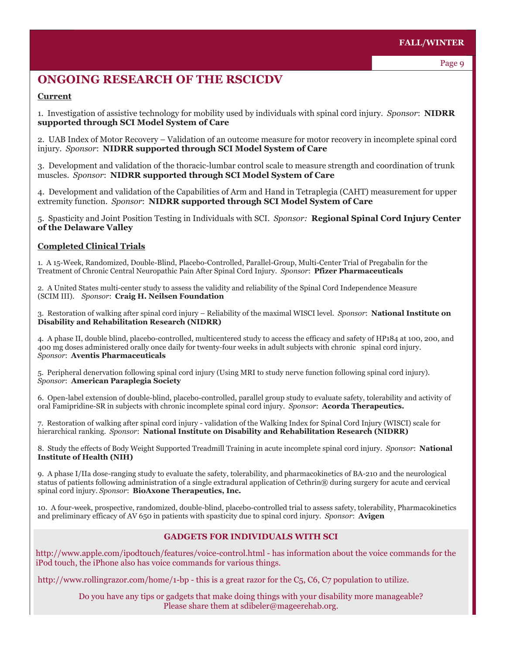#### **ONGOING RESEARCH OF THE RSCICDV**

#### **Current**

1. Investigation of assistive technology for mobility used by individuals with spinal cord injury. *Sponsor*:**NIDRR supported through SCI Model System of Care**

2. UAB Index of Motor Recovery – Validation of an outcome measure for motor recovery in incomplete spinal cord injury. *Sponsor*:**NIDRR supported through SCI Model System of Care** 

3. Development and validation of the thoracic-lumbar control scale to measure strength and coordination of trunk muscles. *Sponsor*:**NIDRR supported through SCI Model System of Care** 

4. Development and validation of the Capabilities of Arm and Hand in Tetraplegia (CAHT) measurement for upper extremity function. *Sponsor*:**NIDRR supported through SCI Model System of Care** 

5. Spasticity and Joint Position Testing in Individuals with SCI. *Sponsor:* **Regional Spinal Cord Injury Center of the Delaware Valley** 

#### **Completed Clinical Trials**

1. A 15-Week, Randomized, Double-Blind, Placebo-Controlled, Parallel-Group, Multi-Center Trial of Pregabalin for the Treatment of Chronic Central Neuropathic Pain After Spinal Cord Injury. *Sponsor*:**Pfizer Pharmaceuticals**

2. A United States multi-center study to assess the validity and reliability of the Spinal Cord Independence Measure (SCIM III). *Sponsor*: **Craig H. Neilsen Foundation** 

3. Restoration of walking after spinal cord injury – Reliability of the maximal WISCI level. *Sponsor*:**National Institute on Disability and Rehabilitation Research (NIDRR)** 

4. A phase II, double blind, placebo-controlled, multicentered study to access the efficacy and safety of HP184 at 100, 200, and 400 mg doses administered orally once daily for twenty-four weeks in adult subjects with chronic spinal cord injury. *Sponsor*: **Aventis Pharmaceuticals** 

5. Peripheral denervation following spinal cord injury (Using MRI to study nerve function following spinal cord injury). *Sponsor*: **American Paraplegia Society** 

6. Open-label extension of double-blind, placebo-controlled, parallel group study to evaluate safety, tolerability and activity of oral Famipridine-SR in subjects with chronic incomplete spinal cord injury. *Sponsor*: **Acorda Therapeutics.**

7. Restoration of walking after spinal cord injury - validation of the Walking Index for Spinal Cord Injury (WISCI) scale for hierarchical ranking. *Sponsor*:**National Institute on Disability and Rehabilitation Research (NIDRR)**

8. Study the effects of Body Weight Supported Treadmill Training in acute incomplete spinal cord injury. *Sponsor*:**National Institute of Health (NIH)**

9. A phase I/IIa dose-ranging study to evaluate the safety, tolerability, and pharmacokinetics of BA-210 and the neurological status of patients following administration of a single extradural application of Cethrin® during surgery for acute and cervical spinal cord injury. *Sponsor*: **BioAxone Therapeutics, Inc.** 

10. A four-week, prospective, randomized, double-blind, placebo-controlled trial to assess safety, tolerability, Pharmacokinetics and preliminary efficacy of AV 650 in patients with spasticity due to spinal cord injury. *Sponsor*: **Avigen**

#### **GADGETS FOR INDIVIDUALS WITH SCI**

http://www.apple.com/ipodtouch/features/voice-control.html - has information about the voice commands for the iPod touch, the iPhone also has voice commands for various things.

http://www.rollingrazor.com/home/1-bp - this is a great razor for the C<sub>5</sub>, C<sub>6</sub>, C<sub>7</sub> population to utilize.

Do you have any tips or gadgets that make doing things with your disability more manageable? Please share them at sdibeler@mageerehab.org.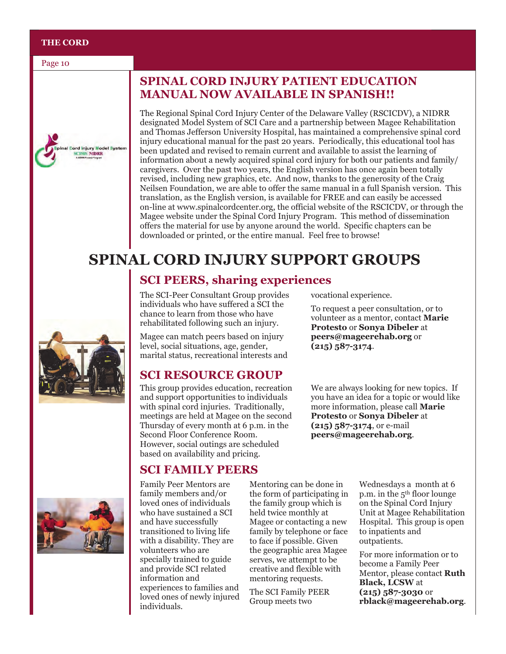#### **THE CORD**

Page 10



#### **SPINAL CORD INJURY PATIENT EDUCATION MANUAL NOW AVAILABLE IN SPANISH!!**

The Regional Spinal Cord Injury Center of the Delaware Valley (RSCICDV), a NIDRR designated Model System of SCI Care and a partnership between Magee Rehabilitation and Thomas Jefferson University Hospital, has maintained a comprehensive spinal cord injury educational manual for the past 20 years. Periodically, this educational tool has been updated and revised to remain current and available to assist the learning of information about a newly acquired spinal cord injury for both our patients and family/ caregivers. Over the past two years, the English version has once again been totally revised, including new graphics, etc. And now, thanks to the generosity of the Craig Neilsen Foundation, we are able to offer the same manual in a full Spanish version. This translation, as the English version, is available for FREE and can easily be accessed on-line at www.spinalcordcenter.org, the official website of the RSCICDV, or through the Magee website under the Spinal Cord Injury Program. This method of dissemination offers the material for use by anyone around the world. Specific chapters can be downloaded or printed, or the entire manual. Feel free to browse!

## **SPINAL CORD INJURY SUPPORT GROUPS**

#### **SCI PEERS, sharing experiences**

The SCI-Peer Consultant Group provides individuals who have suffered a SCI the chance to learn from those who have rehabilitated following such an injury.

Magee can match peers based on injury level, social situations, age, gender, marital status, recreational interests and

#### **SCI RESOURCE GROUP**

This group provides education, recreation and support opportunities to individuals with spinal cord injuries. Traditionally, meetings are held at Magee on the second Thursday of every month at 6 p.m. in the Second Floor Conference Room. However, social outings are scheduled based on availability and pricing.

#### **SCI FAMILY PEERS**

Family Peer Mentors are family members and/or loved ones of individuals who have sustained a SCI and have successfully transitioned to living life with a disability. They are volunteers who are specially trained to guide and provide SCI related information and experiences to families and loved ones of newly injured individuals.

Mentoring can be done in the form of participating in the family group which is held twice monthly at Magee or contacting a new family by telephone or face to face if possible. Given the geographic area Magee serves, we attempt to be creative and flexible with mentoring requests.

The SCI Family PEER Group meets two

vocational experience.

To request a peer consultation, or to volunteer as a mentor, contact **Marie Protesto** or **Sonya Dibeler** at **peers@mageerehab.org** or **(215) 587-3174**.

We are always looking for new topics. If you have an idea for a topic or would like more information, please call **Marie Protesto** or **Sonya Dibeler** at **(215) 587-3174**, or e-mail **peers@mageerehab.org**.

> Wednesdays a month at 6 p.m. in the 5th floor lounge on the Spinal Cord Injury Unit at Magee Rehabilitation Hospital. This group is open to inpatients and outpatients.

> For more information or to become a Family Peer Mentor, please contact **Ruth Black, LCSW** at **(215) 587-3030** or **rblack@mageerehab.org**.



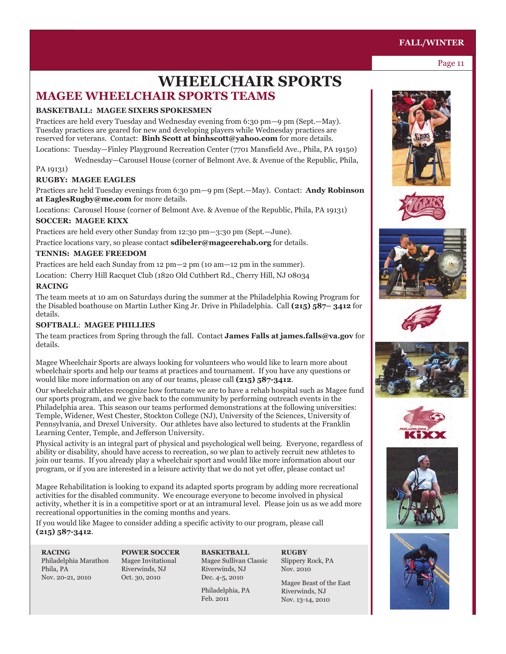### **MAGEE WHEELCHAIR SPORTS TEAMS WHEELCHAIR SPORTS**

#### **BASKETBALL: MAGEE SIXERS SPOKESMEN**

Practices are held every Tuesday and Wednesday evening from 6:30 pm—9 pm (Sept.—May). Tuesday practices are geared for new and developing players while Wednesday practices are reserved for veterans. Contact: **Binh Scott at binhscott@yahoo.com** for more details.

Locations: Tuesday—Finley Playground Recreation Center (7701 Mansfield Ave., Phila, PA 19150)

Wednesday—Carousel House (corner of Belmont Ave. & Avenue of the Republic, Phila,

#### PA 19131)

#### **RUGBY: MAGEE EAGLES**

Practices are held Tuesday evenings from 6:30 pm—9 pm (Sept.—May). Contact: **Andy Robinson at EaglesRugby@me.com** for more details.

Locations: Carousel House (corner of Belmont Ave. & Avenue of the Republic, Phila, PA 19131)

#### **SOCCER: MAGEE KIXX**

Practices are held every other Sunday from 12:30 pm—3:30 pm (Sept.—June).

Practice locations vary, so please contact **sdibeler@mageerehab.org** for details.

#### **TENNIS: MAGEE FREEDOM**

Practices are held each Sunday from 12 pm—2 pm (10 am—12 pm in the summer).

Location: Cherry Hill Racquet Club (1820 Old Cuthbert Rd., Cherry Hill, NJ 08034

#### **RACING**

The team meets at 10 am on Saturdays during the summer at the Philadelphia Rowing Program for the Disabled boathouse on Martin Luther King Jr. Drive in Philadelphia. Call **(215) 587– 3412** for details.

#### **SOFTBALL**: **MAGEE PHILLIES**

The team practices from Spring through the fall. Contact **James Falls at james.falls@va.gov** for details.

Magee Wheelchair Sports are always looking for volunteers who would like to learn more about wheelchair sports and help our teams at practices and tournament. If you have any questions or would like more information on any of our teams, please call **(215) 587-3412**.

Our wheelchair athletes recognize how fortunate we are to have a rehab hospital such as Magee fund our sports program, and we give back to the community by performing outreach events in the Philadelphia area. This season our teams performed demonstrations at the following universities: Temple, Widener, West Chester, Stockton College (NJ), University of the Sciences, University of Pennsylvania, and Drexel University. Our athletes have also lectured to students at the Franklin Learning Center, Temple, and Jefferson University.

Physical activity is an integral part of physical and psychological well being. Everyone, regardless of ability or disability, should have access to recreation, so we plan to actively recruit new athletes to join our teams. If you already play a wheelchair sport and would like more information about our program, or if you are interested in a leisure activity that we do not yet offer, please contact us!

Magee Rehabilitation is looking to expand its adapted sports program by adding more recreational activities for the disabled community. We encourage everyone to become involved in physical activity, whether it is in a competitive sport or at an intramural level. Please join us as we add more recreational opportunities in the coming months and years.

If you would like Magee to consider adding a specific activity to our program, please call **(215) 587-3412**.

**RACING**  Philadelphia Marathon Phila, PA Nov. 20-21, 2010

**POWER SOCCER** Magee Invitational Riverwinds, NJ Oct. 30, 2010

**BASKETBALL**  Magee Sullivan Classic Riverwinds, NJ Dec. 4-5, 2010

Philadelphia, PA Feb. 2011

**RUGBY**  Slippery Rock, PA Nov. 2010

Magee Beast of the East Riverwinds, NJ Nov. 13-14, 2010



















#### **FALL/WINTER**

Page 11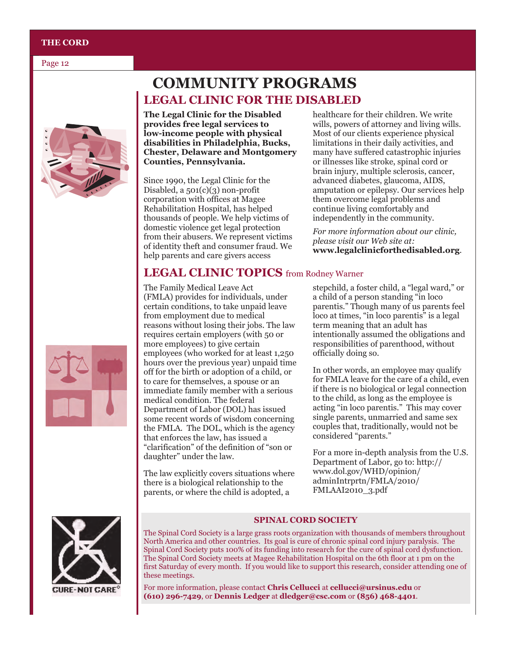#### **THE CORD**

Page 12



### **COMMUNITY PROGRAMS LEGAL CLINIC FOR THE DISABLED**

**The Legal Clinic for the Disabled provides free legal services to low-income people with physical disabilities in Philadelphia, Bucks, Chester, Delaware and Montgomery Counties, Pennsylvania.**

Since 1990, the Legal Clinic for the Disabled, a  $501(c)(3)$  non-profit corporation with offices at Magee Rehabilitation Hospital, has helped thousands of people. We help victims of domestic violence get legal protection from their abusers. We represent victims of identity theft and consumer fraud. We help parents and care givers access

healthcare for their children. We write wills, powers of attorney and living wills. Most of our clients experience physical limitations in their daily activities, and many have suffered catastrophic injuries or illnesses like stroke, spinal cord or brain injury, multiple sclerosis, cancer, advanced diabetes, glaucoma, AIDS, amputation or epilepsy. Our services help them overcome legal problems and continue living comfortably and independently in the community.

*For more information about our clinic, please visit our Web site at:*  **www.legalclinicforthedisabled.org**.

#### **LEGAL CLINIC TOPICS** from Rodney Warner

The Family Medical Leave Act (FMLA) provides for individuals, under certain conditions, to take unpaid leave from employment due to medical reasons without losing their jobs. The law requires certain employers (with 50 or more employees) to give certain employees (who worked for at least 1,250 hours over the previous year) unpaid time off for the birth or adoption of a child, or to care for themselves, a spouse or an immediate family member with a serious medical condition. The federal Department of Labor (DOL) has issued some recent words of wisdom concerning the FMLA. The DOL, which is the agency that enforces the law, has issued a ―clarification‖ of the definition of ―son or daughter" under the law.

The law explicitly covers situations where there is a biological relationship to the parents, or where the child is adopted, a

stepchild, a foster child, a "legal ward," or a child of a person standing "in loco" parentis." Though many of us parents feel loco at times, "in loco parentis" is a legal term meaning that an adult has intentionally assumed the obligations and responsibilities of parenthood, without officially doing so.

In other words, an employee may qualify for FMLA leave for the care of a child, even if there is no biological or legal connection to the child, as long as the employee is acting "in loco parentis." This may cover single parents, unmarried and same sex couples that, traditionally, would not be considered "parents."

For a more in-depth analysis from the U.S. Department of Labor, go to: http:// www.dol.gov/WHD/opinion/ adminIntrprtn/FMLA/2010/ FMLAAI2010\_3.pdf



**CURE-NOT CARE** 

#### **SPINAL CORD SOCIETY**

The Spinal Cord Society is a large grass roots organization with thousands of members throughout North America and other countries. Its goal is cure of chronic spinal cord injury paralysis. The Spinal Cord Society puts 100% of its funding into research for the cure of spinal cord dysfunction. The Spinal Cord Society meets at Magee Rehabilitation Hospital on the 6th floor at 1 pm on the first Saturday of every month. If you would like to support this research, consider attending one of these meetings.

For more information, please contact **Chris Cellucci** at **cellucci@ursinus.edu** or **(610) 296-7429**, or **Dennis Ledger** at **dledger@csc.com** or **(856) 468-4401**.

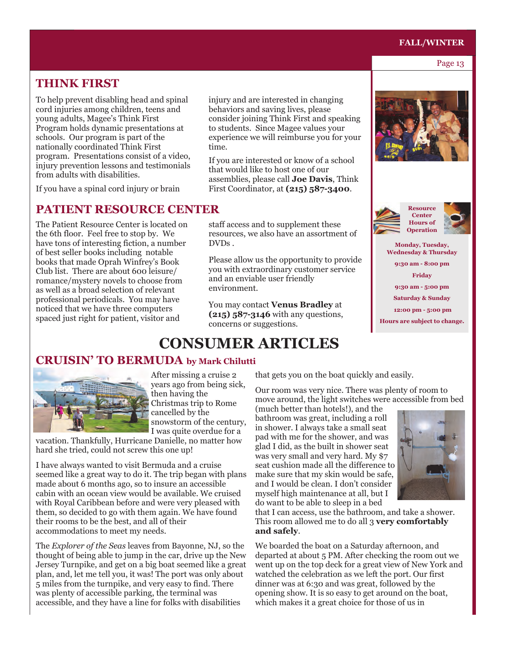## **FALL/WINTER**<br>Page 13

Page 13

#### **THINK FIRST**

To help prevent disabling head and spinal cord injuries among children, teens and young adults, Magee's Think First Program holds dynamic presentations at schools. Our program is part of the nationally coordinated Think First program. Presentations consist of a video, injury prevention lessons and testimonials from adults with disabilities.

If you have a spinal cord injury or brain

#### **PATIENT RESOURCE CENTER**

The Patient Resource Center is located on the 6th floor. Feel free to stop by. We have tons of interesting fiction, a number of best seller books including notable books that made Oprah Winfrey's Book Club list. There are about 600 leisure/ romance/mystery novels to choose from as well as a broad selection of relevant professional periodicals. You may have noticed that we have three computers spaced just right for patient, visitor and

injury and are interested in changing behaviors and saving lives, please consider joining Think First and speaking to students. Since Magee values your experience we will reimburse you for your time.

If you are interested or know of a school that would like to host one of our assemblies, please call **Joe Davis**, Think First Coordinator, at **(215) 587-3400**.

staff access and to supplement these resources, we also have an assortment of DVDs .

Please allow us the opportunity to provide you with extraordinary customer service and an enviable user friendly environment.

You may contact **Venus Bradley** at **(215) 587-3146** with any questions, concerns or suggestions.





**Monday, Tuesday, Wednesday & Thursday 9:30 am - 8:00 pm Friday 9:30 am - 5:00 pm Saturday & Sunday 12:00 pm - 5:00 pm Hours are subject to change.** 

## **CONSUMER ARTICLES**

#### **CRUISIN' TO BERMUDA by Mark Chilutti**



After missing a cruise 2 years ago from being sick, then having the Christmas trip to Rome cancelled by the snowstorm of the century, I was quite overdue for a

vacation. Thankfully, Hurricane Danielle, no matter how hard she tried, could not screw this one up!

I have always wanted to visit Bermuda and a cruise seemed like a great way to do it. The trip began with plans made about 6 months ago, so to insure an accessible cabin with an ocean view would be available. We cruised with Royal Caribbean before and were very pleased with them, so decided to go with them again. We have found their rooms to be the best, and all of their accommodations to meet my needs.

The *Explorer of the Seas* leaves from Bayonne, NJ, so the thought of being able to jump in the car, drive up the New Jersey Turnpike, and get on a big boat seemed like a great plan, and, let me tell you, it was! The port was only about 5 miles from the turnpike, and very easy to find. There was plenty of accessible parking, the terminal was accessible, and they have a line for folks with disabilities

that gets you on the boat quickly and easily.

Our room was very nice. There was plenty of room to move around, the light switches were accessible from bed

(much better than hotels!), and the bathroom was great, including a roll in shower. I always take a small seat pad with me for the shower, and was glad I did, as the built in shower seat was very small and very hard. My \$7 seat cushion made all the difference to make sure that my skin would be safe, and I would be clean. I don't consider myself high maintenance at all, but I do want to be able to sleep in a bed



that I can access, use the bathroom, and take a shower. This room allowed me to do all 3 **very comfortably and safely**.

We boarded the boat on a Saturday afternoon, and departed at about 5 PM. After checking the room out we went up on the top deck for a great view of New York and watched the celebration as we left the port. Our first dinner was at 6:30 and was great, followed by the opening show. It is so easy to get around on the boat, which makes it a great choice for those of us in